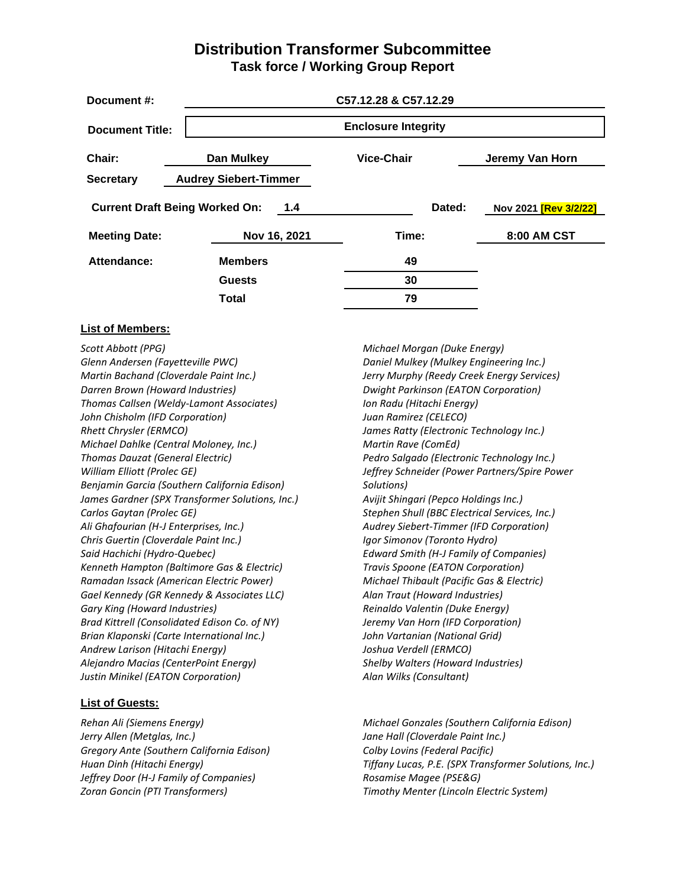#### **Distribution Transformer Subcommittee Task force / Working Group Report**

| Document #:                                  | C57.12.28 & C57.12.29        |                            |                              |
|----------------------------------------------|------------------------------|----------------------------|------------------------------|
| <b>Document Title:</b>                       |                              | <b>Enclosure Integrity</b> |                              |
| Chair:                                       | Dan Mulkey                   | Vice-Chair                 | Jeremy Van Horn              |
| <b>Secretary</b>                             | <b>Audrey Siebert-Timmer</b> |                            |                              |
| <b>Current Draft Being Worked On:</b><br>1.4 |                              | Dated:                     | Nov 2021 <b>[Rev 3/2/22]</b> |
| <b>Meeting Date:</b>                         | Nov 16, 2021                 | Time:                      | <b>8:00 AM CST</b>           |
| Attendance:                                  | <b>Members</b>               | 49                         |                              |
|                                              | <b>Guests</b>                | 30                         |                              |
|                                              | Total                        | 79                         |                              |

#### **List of Members:**

*Scott Abbott (PPG) Glenn Andersen (Fayetteville PWC) Martin Bachand (Cloverdale Paint Inc.) Darren Brown (Howard Industries) Thomas Callsen (Weldy-Lamont Associates) John Chisholm (IFD Corporation) Rhett Chrysler (ERMCO) Michael Dahlke (Central Moloney, Inc.) Thomas Dauzat (General Electric) William Elliott (Prolec GE) Benjamin Garcia (Southern California Edison) James Gardner (SPX Transformer Solutions, Inc.) Carlos Gaytan (Prolec GE) Ali Ghafourian (H-J Enterprises, Inc.) Chris Guertin (Cloverdale Paint Inc.) Said Hachichi (Hydro-Quebec) Kenneth Hampton (Baltimore Gas & Electric) Ramadan Issack (American Electric Power) Gael Kennedy (GR Kennedy & Associates LLC) Gary King (Howard Industries) Brad Kittrell (Consolidated Edison Co. of NY) Brian Klaponski (Carte International Inc.) Andrew Larison (Hitachi Energy) Alejandro Macias (CenterPoint Energy) Justin Minikel (EATON Corporation)*

#### **List of Guests:**

*Rehan Ali (Siemens Energy) Jerry Allen (Metglas, Inc.) Gregory Ante (Southern California Edison) Huan Dinh (Hitachi Energy) Jeffrey Door (H-J Family of Companies) Zoran Goncin (PTI Transformers)*

*Michael Morgan (Duke Energy) Daniel Mulkey (Mulkey Engineering Inc.) Jerry Murphy (Reedy Creek Energy Services) Dwight Parkinson (EATON Corporation) Ion Radu (Hitachi Energy) Juan Ramirez (CELECO) James Ratty (Electronic Technology Inc.) Martin Rave (ComEd) Pedro Salgado (Electronic Technology Inc.) Jeffrey Schneider (Power Partners/Spire Power Solutions) Avijit Shingari (Pepco Holdings Inc.) Stephen Shull (BBC Electrical Services, Inc.) Audrey Siebert-Timmer (IFD Corporation) Igor Simonov (Toronto Hydro) Edward Smith (H-J Family of Companies) Travis Spoone (EATON Corporation) Michael Thibault (Pacific Gas & Electric) Alan Traut (Howard Industries) Reinaldo Valentin (Duke Energy) Jeremy Van Horn (IFD Corporation) John Vartanian (National Grid) Joshua Verdell (ERMCO) Shelby Walters (Howard Industries) Alan Wilks (Consultant)*

*Michael Gonzales (Southern California Edison) Jane Hall (Cloverdale Paint Inc.) Colby Lovins (Federal Pacific) Tiffany Lucas, P.E. (SPX Transformer Solutions, Inc.) Rosamise Magee (PSE&G) Timothy Menter (Lincoln Electric System)*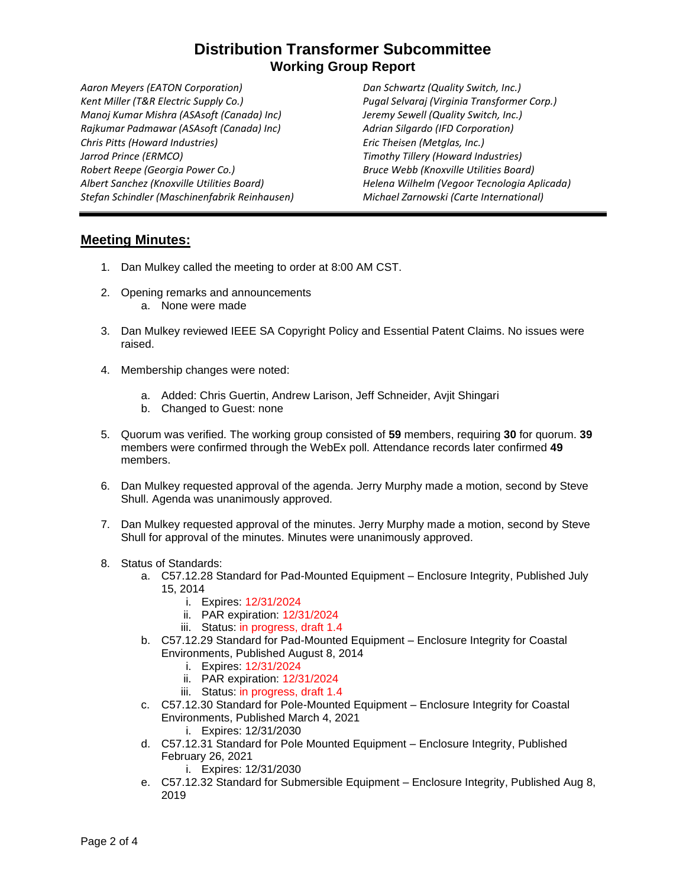# **Distribution Transformer Subcommittee Working Group Report**

*Aaron Meyers (EATON Corporation) Kent Miller (T&R Electric Supply Co.) Manoj Kumar Mishra (ASAsoft (Canada) Inc) Rajkumar Padmawar (ASAsoft (Canada) Inc) Chris Pitts (Howard Industries) Jarrod Prince (ERMCO) Robert Reepe (Georgia Power Co.) Albert Sanchez (Knoxville Utilities Board) Stefan Schindler (Maschinenfabrik Reinhausen)*

*Dan Schwartz (Quality Switch, Inc.) Pugal Selvaraj (Virginia Transformer Corp.) Jeremy Sewell (Quality Switch, Inc.) Adrian Silgardo (IFD Corporation) Eric Theisen (Metglas, Inc.) Timothy Tillery (Howard Industries) Bruce Webb (Knoxville Utilities Board) Helena Wilhelm (Vegoor Tecnologia Aplicada) Michael Zarnowski (Carte International)*

#### **Meeting Minutes:**

- 1. Dan Mulkey called the meeting to order at 8:00 AM CST.
- 2. Opening remarks and announcements a. None were made
- 3. Dan Mulkey reviewed IEEE SA Copyright Policy and Essential Patent Claims. No issues were raised.
- 4. Membership changes were noted:
	- a. Added: Chris Guertin, Andrew Larison, Jeff Schneider, Avjit Shingari
	- b. Changed to Guest: none
- 5. Quorum was verified. The working group consisted of **59** members, requiring **30** for quorum. **39** members were confirmed through the WebEx poll. Attendance records later confirmed **49** members.
- 6. Dan Mulkey requested approval of the agenda. Jerry Murphy made a motion, second by Steve Shull. Agenda was unanimously approved.
- 7. Dan Mulkey requested approval of the minutes. Jerry Murphy made a motion, second by Steve Shull for approval of the minutes. Minutes were unanimously approved.
- 8. Status of Standards:
	- a. C57.12.28 Standard for Pad-Mounted Equipment Enclosure Integrity, Published July 15, 2014
		- i. Expires: 12/31/2024
		- ii. PAR expiration: 12/31/2024
		- iii. Status: in progress, draft 1.4
	- b. C57.12.29 Standard for Pad-Mounted Equipment Enclosure Integrity for Coastal Environments, Published August 8, 2014
		- i. Expires: 12/31/2024
		- ii. PAR expiration: 12/31/2024
		- iii. Status: in progress, draft 1.4
	- c. C57.12.30 Standard for Pole-Mounted Equipment Enclosure Integrity for Coastal Environments, Published March 4, 2021
		- i. Expires: 12/31/2030
	- d. C57.12.31 Standard for Pole Mounted Equipment Enclosure Integrity, Published February 26, 2021
		- i. Expires: 12/31/2030
	- e. C57.12.32 Standard for Submersible Equipment Enclosure Integrity, Published Aug 8, 2019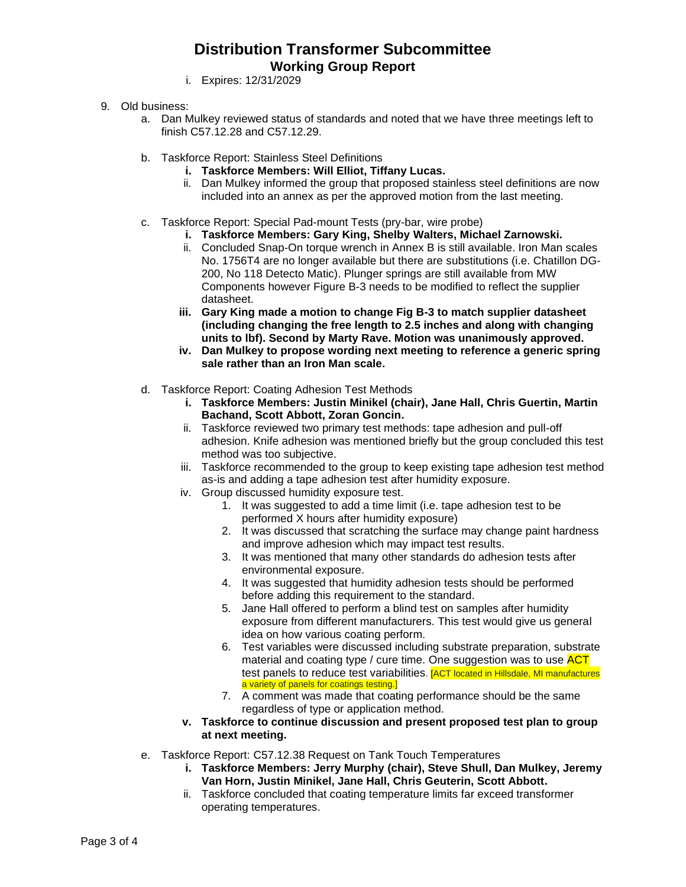# **Distribution Transformer Subcommittee Working Group Report**

- i. Expires: 12/31/2029
- 9. Old business:
	- a. Dan Mulkey reviewed status of standards and noted that we have three meetings left to finish C57.12.28 and C57.12.29.
	- b. Taskforce Report: Stainless Steel Definitions
		- **i. Taskforce Members: Will Elliot, Tiffany Lucas.**
		- ii. Dan Mulkey informed the group that proposed stainless steel definitions are now included into an annex as per the approved motion from the last meeting.
	- c. Taskforce Report: Special Pad-mount Tests (pry-bar, wire probe)
		- **i. Taskforce Members: Gary King, Shelby Walters, Michael Zarnowski.**
		- ii. Concluded Snap-On torque wrench in Annex B is still available. Iron Man scales No. 1756T4 are no longer available but there are substitutions (i.e. Chatillon DG-200, No 118 Detecto Matic). Plunger springs are still available from MW Components however Figure B-3 needs to be modified to reflect the supplier datasheet.
		- **iii. Gary King made a motion to change Fig B-3 to match supplier datasheet (including changing the free length to 2.5 inches and along with changing units to lbf). Second by Marty Rave. Motion was unanimously approved.**
		- **iv. Dan Mulkey to propose wording next meeting to reference a generic spring sale rather than an Iron Man scale.**
	- d. Taskforce Report: Coating Adhesion Test Methods
		- **i. Taskforce Members: Justin Minikel (chair), Jane Hall, Chris Guertin, Martin Bachand, Scott Abbott, Zoran Goncin.**
		- ii. Taskforce reviewed two primary test methods: tape adhesion and pull-off adhesion. Knife adhesion was mentioned briefly but the group concluded this test method was too subjective.
		- iii. Taskforce recommended to the group to keep existing tape adhesion test method as-is and adding a tape adhesion test after humidity exposure.
		- iv. Group discussed humidity exposure test.
			- 1. It was suggested to add a time limit (i.e. tape adhesion test to be performed X hours after humidity exposure)
			- 2. It was discussed that scratching the surface may change paint hardness and improve adhesion which may impact test results.
			- 3. It was mentioned that many other standards do adhesion tests after environmental exposure.
			- 4. It was suggested that humidity adhesion tests should be performed before adding this requirement to the standard.
			- 5. Jane Hall offered to perform a blind test on samples after humidity exposure from different manufacturers. This test would give us general idea on how various coating perform.
			- 6. Test variables were discussed including substrate preparation, substrate material and coating type / cure time. One suggestion was to use ACT test panels to reduce test variabilities. **[ACT located in Hillsdale, MI manufactures** a variety of panels for coatings testing.]
			- 7. A comment was made that coating performance should be the same regardless of type or application method.
		- **v. Taskforce to continue discussion and present proposed test plan to group at next meeting.**
	- e. Taskforce Report: C57.12.38 Request on Tank Touch Temperatures
		- **i. Taskforce Members: Jerry Murphy (chair), Steve Shull, Dan Mulkey, Jeremy Van Horn, Justin Minikel, Jane Hall, Chris Geuterin, Scott Abbott.**
		- ii. Taskforce concluded that coating temperature limits far exceed transformer operating temperatures.